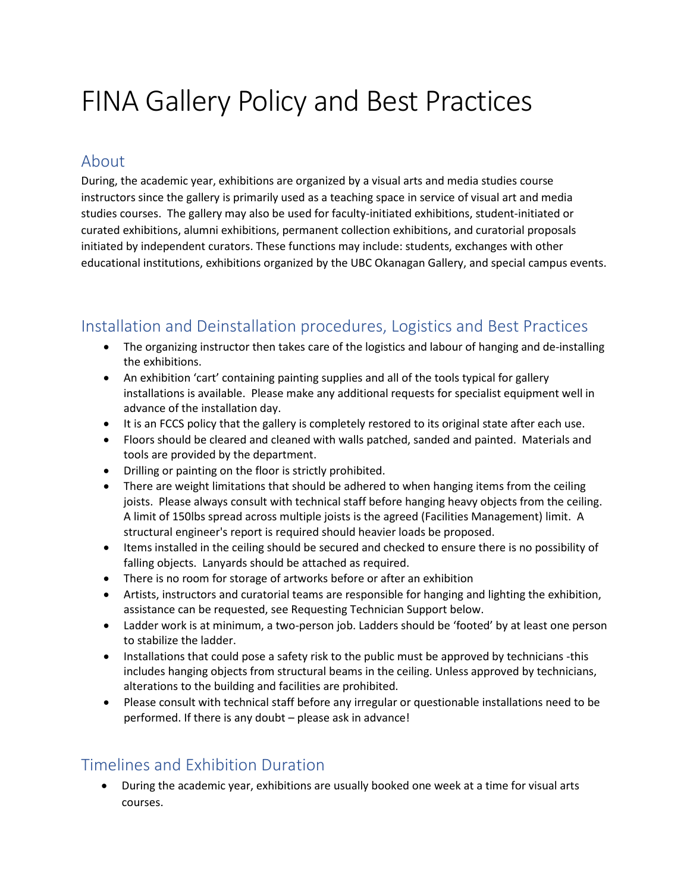# FINA Gallery Policy and Best Practices

#### About

During, the academic year, exhibitions are organized by a visual arts and media studies course instructors since the gallery is primarily used as a teaching space in service of visual art and media studies courses. The gallery may also be used for faculty-initiated exhibitions, student-initiated or curated exhibitions, alumni exhibitions, permanent collection exhibitions, and curatorial proposals initiated by independent curators. These functions may include: students, exchanges with other educational institutions, exhibitions organized by the UBC Okanagan Gallery, and special campus events.

### Installation and Deinstallation procedures, Logistics and Best Practices

- The organizing instructor then takes care of the logistics and labour of hanging and de-installing the exhibitions.
- An exhibition 'cart' containing painting supplies and all of the tools typical for gallery installations is available. Please make any additional requests for specialist equipment well in advance of the installation day.
- It is an FCCS policy that the gallery is completely restored to its original state after each use.
- Floors should be cleared and cleaned with walls patched, sanded and painted. Materials and tools are provided by the department.
- Drilling or painting on the floor is strictly prohibited.
- There are weight limitations that should be adhered to when hanging items from the ceiling joists. Please always consult with technical staff before hanging heavy objects from the ceiling. A limit of 150lbs spread across multiple joists is the agreed (Facilities Management) limit. A structural engineer's report is required should heavier loads be proposed.
- Items installed in the ceiling should be secured and checked to ensure there is no possibility of falling objects. Lanyards should be attached as required.
- There is no room for storage of artworks before or after an exhibition
- Artists, instructors and curatorial teams are responsible for hanging and lighting the exhibition, assistance can be requested, see Requesting Technician Support below.
- Ladder work is at minimum, a two-person job. Ladders should be 'footed' by at least one person to stabilize the ladder.
- Installations that could pose a safety risk to the public must be approved by technicians -this includes hanging objects from structural beams in the ceiling. Unless approved by technicians, alterations to the building and facilities are prohibited.
- Please consult with technical staff before any irregular or questionable installations need to be performed. If there is any doubt – please ask in advance!

#### Timelines and Exhibition Duration

• During the academic year, exhibitions are usually booked one week at a time for visual arts courses.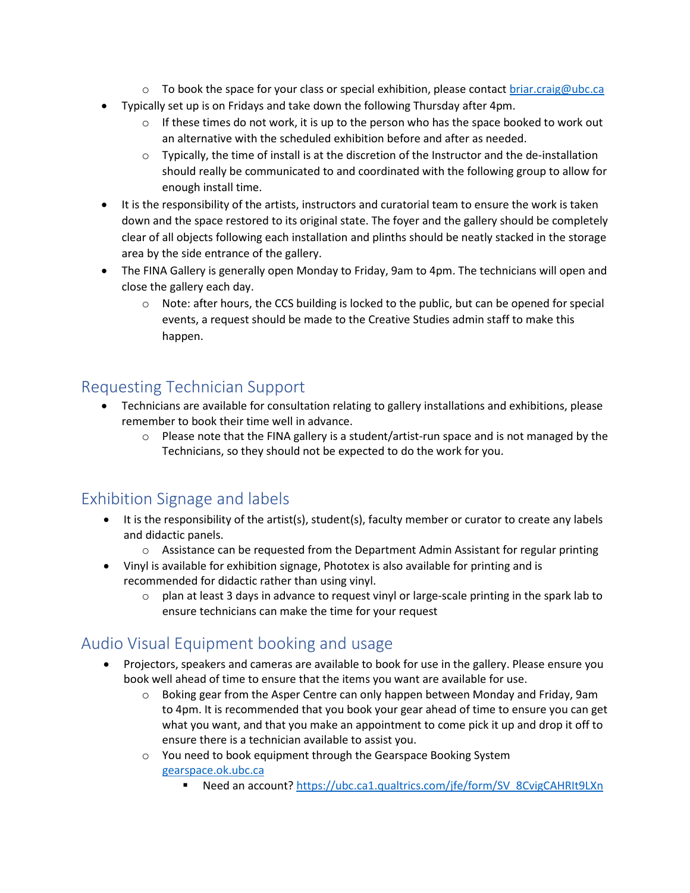- $\circ$  To book the space for your class or special exhibition, please contact briar.craig@ubc.ca
- Typically set up is on Fridays and take down the following Thursday after 4pm.
	- $\circ$  If these times do not work, it is up to the person who has the space booked to work out an alternative with the scheduled exhibition before and after as needed.
	- $\circ$  Typically, the time of install is at the discretion of the Instructor and the de-installation should really be communicated to and coordinated with the following group to allow for enough install time.
- It is the responsibility of the artists, instructors and curatorial team to ensure the work is taken down and the space restored to its original state. The foyer and the gallery should be completely clear of all objects following each installation and plinths should be neatly stacked in the storage area by the side entrance of the gallery.
- The FINA Gallery is generally open Monday to Friday, 9am to 4pm. The technicians will open and close the gallery each day.
	- $\circ$  Note: after hours, the CCS building is locked to the public, but can be opened for special events, a request should be made to the Creative Studies admin staff to make this happen.

### Requesting Technician Support

- Technicians are available for consultation relating to gallery installations and exhibitions, please remember to book their time well in advance.
	- $\circ$  Please note that the FINA gallery is a student/artist-run space and is not managed by the Technicians, so they should not be expected to do the work for you.

#### Exhibition Signage and labels

- It is the responsibility of the artist(s), student(s), faculty member or curator to create any labels and didactic panels.
	- $\circ$  Assistance can be requested from the Department Admin Assistant for regular printing
- Vinyl is available for exhibition signage, Phototex is also available for printing and is recommended for didactic rather than using vinyl.
	- $\circ$  plan at least 3 days in advance to request vinyl or large-scale printing in the spark lab to ensure technicians can make the time for your request

## Audio Visual Equipment booking and usage

- Projectors, speakers and cameras are available to book for use in the gallery. Please ensure you book well ahead of time to ensure that the items you want are available for use.
	- o Boking gear from the Asper Centre can only happen between Monday and Friday, 9am to 4pm. It is recommended that you book your gear ahead of time to ensure you can get what you want, and that you make an appointment to come pick it up and drop it off to ensure there is a technician available to assist you.
	- o You need to book equipment through the Gearspace Booking System [gearspace.ok.ubc.ca](https://gearspace.ok.ubc.ca/Web/) 
		- Need an account? https://ubc.ca1.qualtrics.com/jfe/form/SV\_8CvigCAHRIt9LXn